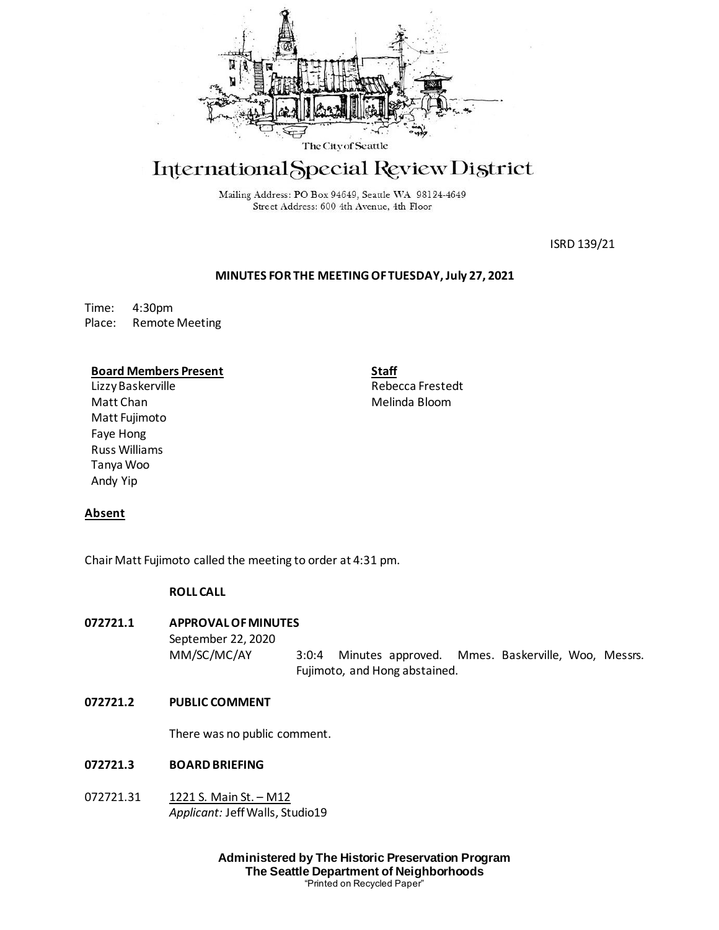

# International Special Review District

Mailing Address: PO Box 94649, Seattle WA 98124-4649 Street Address: 600 4th Avenue, 4th Floor

ISRD 139/21

# **MINUTES FOR THE MEETING OF TUESDAY, July 27, 2021**

Time: 4:30pm Place: Remote Meeting

## **Board Members Present**

LizzyBaskerville Matt Chan Matt Fujimoto Faye Hong Russ Williams Tanya Woo Andy Yip

**Staff** Rebecca Frestedt Melinda Bloom

# **Absent**

Chair Matt Fujimoto called the meeting to order at 4:31 pm.

# **ROLL CALL**

# **072721.1 APPROVAL OF MINUTES**

September 22, 2020 MM/SC/MC/AY 3:0:4 Minutes approved. Mmes. Baskerville, Woo, Messrs. Fujimoto, and Hong abstained.

## **072721.2 PUBLIC COMMENT**

There was no public comment.

# **072721.3 BOARD BRIEFING**

072721.31 1221 S. Main St. – M12 *Applicant:* Jeff Walls, Studio19

> **Administered by The Historic Preservation Program The Seattle Department of Neighborhoods** "Printed on Recycled Paper"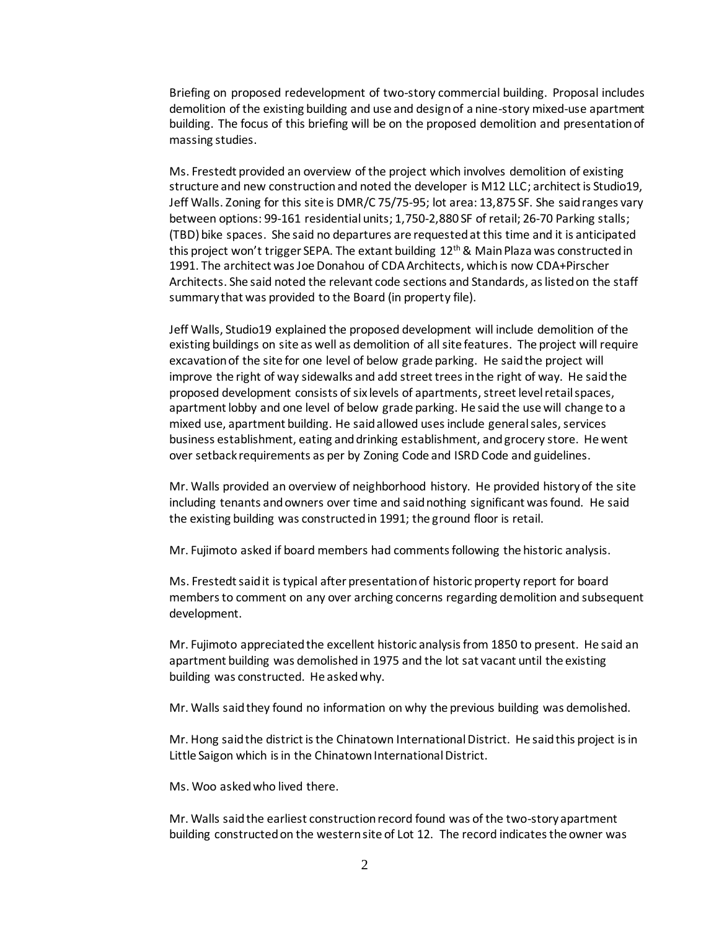Briefing on proposed redevelopment of two-story commercial building. Proposal includes demolition of the existing building and use and design of a nine-story mixed-use apartment building. The focus of this briefing will be on the proposed demolition and presentation of massing studies.

Ms. Frestedt provided an overview of the project which involves demolition of existing structure and new construction and noted the developer is M12 LLC; architect is Studio19, Jeff Walls. Zoning for this site is DMR/C 75/75-95; lot area: 13,875 SF. She said ranges vary between options: 99-161 residential units; 1,750-2,880 SF of retail; 26-70 Parking stalls; (TBD) bike spaces. She said no departures are requested at this time and it is anticipated this project won't trigger SEPA. The extant building  $12<sup>th</sup>$  & Main Plaza was constructed in 1991. The architect was Joe Donahou of CDA Architects, which is now CDA+Pirscher Architects. She said noted the relevant code sections and Standards, as listed on the staff summary that was provided to the Board (in property file).

Jeff Walls, Studio19 explained the proposed development will include demolition of the existing buildings on site as well as demolition of all site features. The project will require excavation of the site for one level of below grade parking. He said the project will improve the right of way sidewalks and add street trees in the right of way. He said the proposed development consists of six levels of apartments, street level retail spaces, apartment lobby and one level of below grade parking. He said the use will change to a mixed use, apartment building. He said allowed uses include general sales, services business establishment, eating and drinking establishment, and grocery store. He went over setback requirements as per by Zoning Code and ISRD Code and guidelines.

Mr. Walls provided an overview of neighborhood history. He provided history of the site including tenants and owners over time and said nothing significant was found. He said the existing building was constructed in 1991; the ground floor is retail.

Mr. Fujimoto asked if board members had comments following the historic analysis.

Ms. Frestedt said it is typical after presentation of historic property report for board members to comment on any over arching concerns regarding demolition and subsequent development.

Mr. Fujimoto appreciated the excellent historic analysis from 1850 to present. He said an apartment building was demolished in 1975 and the lot sat vacant until the existing building was constructed. He asked why.

Mr. Walls said they found no information on why the previous building was demolished.

Mr. Hong said the district is the Chinatown International District. He said this project is in Little Saigon which is in the Chinatown International District.

Ms. Woo asked who lived there.

Mr. Walls said the earliest construction record found was of the two-story apartment building constructed on the western site of Lot 12. The record indicates the owner was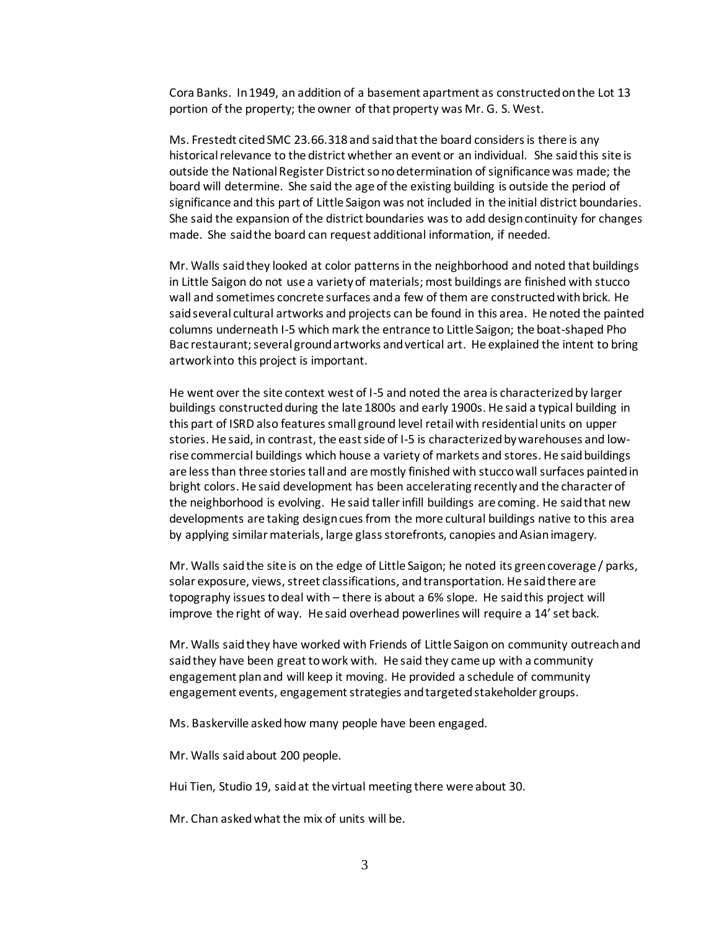Cora Banks. In 1949, an addition of a basement apartment as constructed on the Lot 13 portion of the property; the owner of that property was Mr. G. S. West.

Ms. Frestedt cited SMC 23.66.318 and said that the board considers is there is any historical relevance to the district whether an event or an individual. She said this site is outside the National Register District so no determination of significance was made; the board will determine. She said the age of the existing building is outside the period of significance and this part of Little Saigon was not included in the initial district boundaries. She said the expansion of the district boundaries was to add design continuity for changes made. She said the board can request additional information, if needed.

Mr. Walls said they looked at color patterns in the neighborhood and noted that buildings in Little Saigon do not use a variety of materials; most buildings are finished with stucco wall and sometimes concrete surfaces and a few of them are constructed with brick. He said several cultural artworks and projects can be found in this area. He noted the painted columns underneath I-5 which mark the entrance to Little Saigon; the boat-shaped Pho Bac restaurant; several ground artworks and vertical art. He explained the intent to bring artwork into this project is important.

He went over the site context west of I-5 and noted the area is characterized by larger buildings constructed during the late 1800s and early 1900s. He said a typical building in this part of ISRD also features small ground level retail with residential units on upper stories. He said, in contrast, the east side of I-5 is characterized by warehouses and lowrise commercial buildings which house a variety of markets and stores. He said buildings are less than three stories tall and are mostly finished with stucco wall surfaces painted in bright colors. He said development has been accelerating recently and the character of the neighborhood is evolving. He said taller infill buildings are coming. He said that new developments are taking design cues from the more cultural buildings native to this area by applying similar materials, large glass storefronts, canopies and Asian imagery.

Mr. Walls said the site is on the edge of Little Saigon; he noted its green coverage / parks, solar exposure, views, street classifications, and transportation. He said there are topography issues to deal with – there is about a 6% slope. He said this project will improve the right of way. He said overhead powerlines will require a 14' set back.

Mr. Walls said they have worked with Friends of Little Saigon on community outreach and said they have been great to work with. He said they came up with a community engagement plan and will keep it moving. He provided a schedule of community engagement events, engagement strategies and targeted stakeholder groups.

Ms. Baskerville asked how many people have been engaged.

Mr. Walls said about 200 people.

Hui Tien, Studio 19, said at the virtual meeting there were about 30.

Mr. Chan asked what the mix of units will be.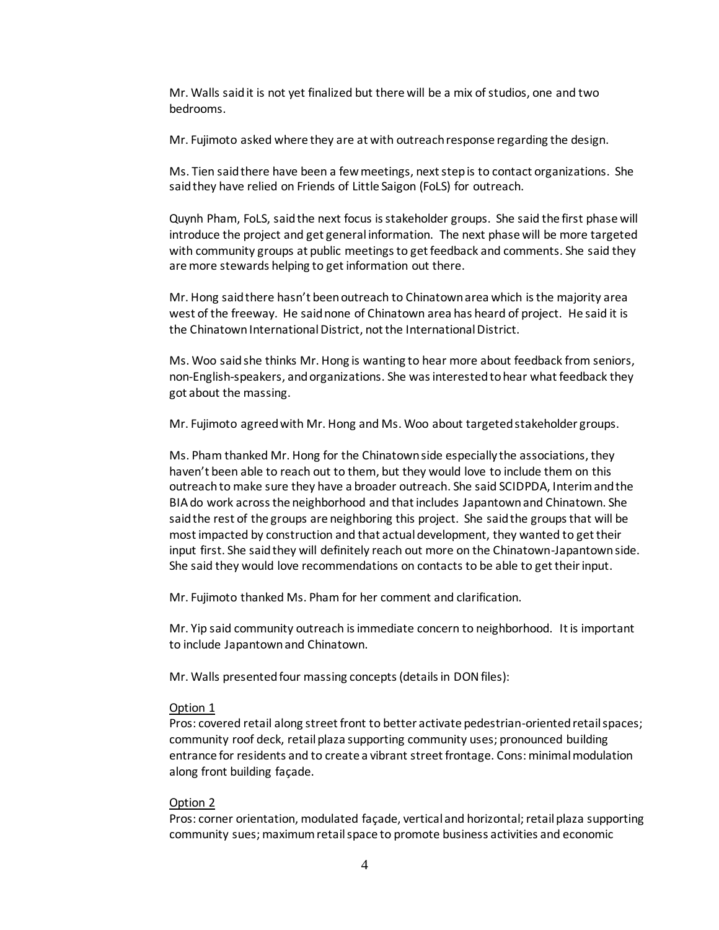Mr. Walls said it is not yet finalized but there will be a mix of studios, one and two bedrooms.

Mr. Fujimoto asked where they are at with outreach response regarding the design.

Ms. Tien said there have been a few meetings, next step is to contact organizations. She said they have relied on Friends of Little Saigon (FoLS) for outreach.

Quynh Pham, FoLS, said the next focus is stakeholder groups. She said the first phase will introduce the project and get general information. The next phase will be more targeted with community groups at public meetings to get feedback and comments. She said they are more stewards helping to get information out there.

Mr. Hong said there hasn't been outreach to Chinatown area which is the majority area west of the freeway. He said none of Chinatown area has heard of project. He said it is the Chinatown International District, not the International District.

Ms. Woo said she thinks Mr. Hong is wanting to hear more about feedback from seniors, non-English-speakers, and organizations. She was interested to hear what feedback they got about the massing.

Mr. Fujimoto agreed with Mr. Hong and Ms. Woo about targeted stakeholder groups.

Ms. Pham thanked Mr. Hong for the Chinatown side especially the associations, they haven't been able to reach out to them, but they would love to include them on this outreachto make sure they have a broader outreach. She said SCIDPDA, Interim and the BIA do work across the neighborhood and that includes Japantown and Chinatown. She said the rest of the groups are neighboring this project. She said the groups that will be most impacted by construction and that actual development, they wanted to get their input first. She said they will definitely reach out more on the Chinatown-Japantown side. She said they would love recommendations on contacts to be able to get their input.

Mr. Fujimoto thanked Ms. Pham for her comment and clarification.

Mr. Yip said community outreach is immediate concern to neighborhood. It is important to include Japantown and Chinatown.

Mr. Walls presented four massing concepts (details in DON files):

## Option 1

Pros: covered retail along street front to better activate pedestrian-oriented retail spaces; community roof deck, retail plaza supporting community uses; pronounced building entrance for residents and to create a vibrant street frontage. Cons: minimal modulation along front building façade.

## Option 2

Pros: corner orientation, modulated façade, vertical and horizontal; retail plaza supporting community sues; maximum retail space to promote business activities and economic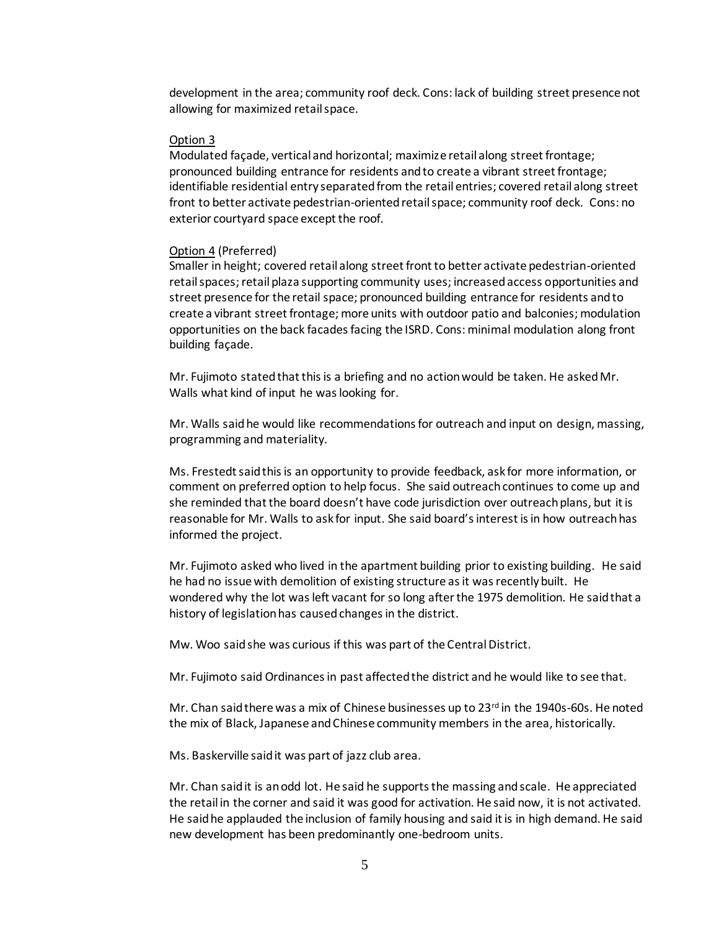development in the area; community roof deck. Cons: lack of building street presence not allowing for maximized retail space.

#### Option 3

Modulated façade, vertical and horizontal; maximize retail along street frontage; pronounced building entrance for residents and to create a vibrant street frontage; identifiable residential entry separated from the retail entries; covered retail along street front to better activate pedestrian-oriented retail space; community roof deck. Cons: no exterior courtyard space except the roof.

#### Option 4 (Preferred)

Smaller in height; covered retail along street front to better activate pedestrian-oriented retail spaces; retail plaza supporting community uses; increased access opportunities and street presence for the retail space; pronounced building entrance for residents and to create a vibrant street frontage; more units with outdoor patio and balconies; modulation opportunities on the back facades facing the ISRD. Cons: minimal modulation along front building façade.

Mr. Fujimoto stated that this is a briefing and no action would be taken. He asked Mr. Walls what kind of input he was looking for.

Mr. Walls said he would like recommendations for outreach and input on design, massing, programming and materiality.

Ms. Frestedt said this is an opportunity to provide feedback, ask for more information, or comment on preferred option to help focus. She said outreach continues to come up and she reminded that the board doesn't have code jurisdiction over outreach plans, but it is reasonable for Mr. Walls to ask for input. She said board's interest is in how outreach has informed the project.

Mr. Fujimoto asked who lived in the apartment building prior to existing building. He said he had no issue with demolition of existing structure as it was recently built. He wondered why the lot was left vacant for so long after the 1975 demolition. He said that a history of legislation has caused changes in the district.

Mw. Woo said she was curious if this was part of the Central District.

Mr. Fujimoto said Ordinances in past affected the district and he would like to see that.

Mr. Chan said there was a mix of Chinese businesses up to  $23<sup>rd</sup>$  in the 1940s-60s. He noted the mix of Black, Japanese and Chinese community members in the area, historically.

Ms. Baskerville said it was part of jazz club area.

Mr. Chan said it is an odd lot. He said he supports the massing and scale. He appreciated the retail in the corner and said it was good for activation. He said now, it is not activated. He said he applauded the inclusion of family housing and said it is in high demand. He said new development has been predominantly one-bedroom units.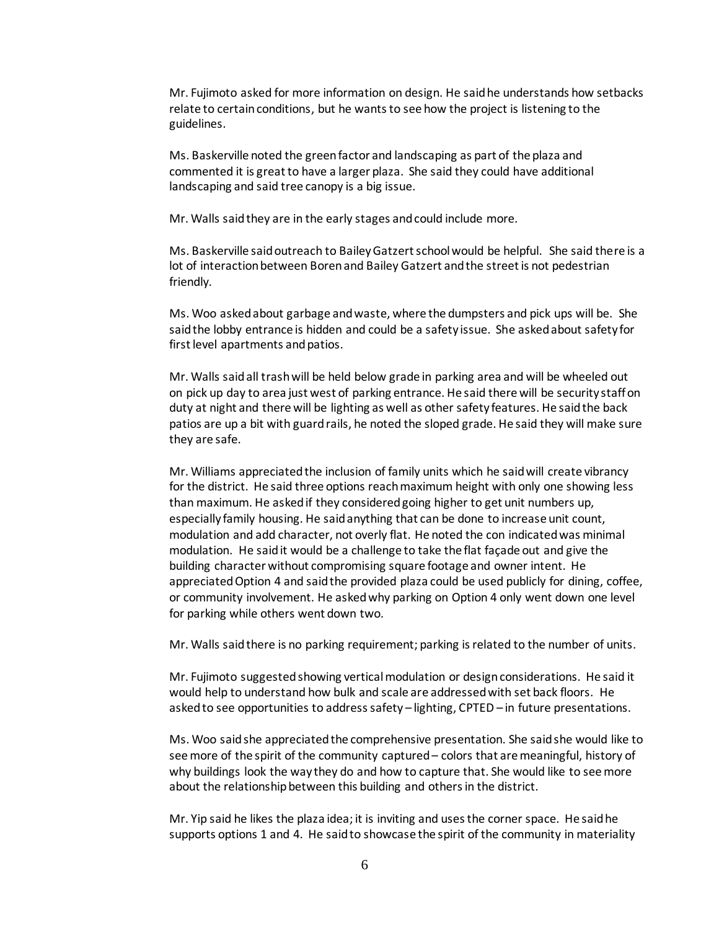Mr. Fujimoto asked for more information on design. He said he understands how setbacks relate to certain conditions, but he wants to see how the project is listening to the guidelines.

Ms. Baskerville noted the green factor and landscaping as part of the plaza and commented it is great to have a larger plaza. She said they could have additional landscaping and said tree canopy is a big issue.

Mr. Walls said they are in the early stages and could include more.

Ms. Baskerville said outreach to Bailey Gatzert school would be helpful. She said there is a lot of interaction between Boren and Bailey Gatzert and the street is not pedestrian friendly.

Ms. Woo asked about garbage and waste, where the dumpsters and pick ups will be. She said the lobby entrance is hidden and could be a safety issue. She asked about safety for first level apartments and patios.

Mr. Walls said all trash will be held below grade in parking area and will be wheeled out on pick up day to area just west of parking entrance. He said there will be security staff on duty at night and there will be lighting as well as other safety features. He said the back patios are up a bit with guard rails, he noted the sloped grade. He said they will make sure they are safe.

Mr. Williams appreciated the inclusion of family units which he said will create vibrancy for the district. He said three options reach maximum height with only one showing less than maximum. He asked if they considered going higher to get unit numbers up, especially family housing. He said anything that can be done to increase unit count, modulation and add character, not overly flat. He noted the con indicated was minimal modulation. He said it would be a challenge to take the flat façade out and give the building character without compromising square footage and owner intent. He appreciated Option 4 and said the provided plaza could be used publicly for dining, coffee, or community involvement. He asked why parking on Option 4 only went down one level for parking while others went down two.

Mr. Walls said there is no parking requirement; parking is related to the number of units.

Mr. Fujimoto suggested showing vertical modulation or design considerations. He said it would help to understand how bulk and scale are addressed with set back floors. He asked to see opportunities to address safety – lighting, CPTED – in future presentations.

Ms. Woo said she appreciated the comprehensive presentation. She said she would like to see more of the spirit of the community captured – colors that are meaningful, history of why buildings look the way they do and how to capture that. She would like to see more about the relationship between this building and others in the district.

Mr. Yip said he likes the plaza idea; it is inviting and uses the corner space. He said he supports options 1 and 4. He said to showcase the spirit of the community in materiality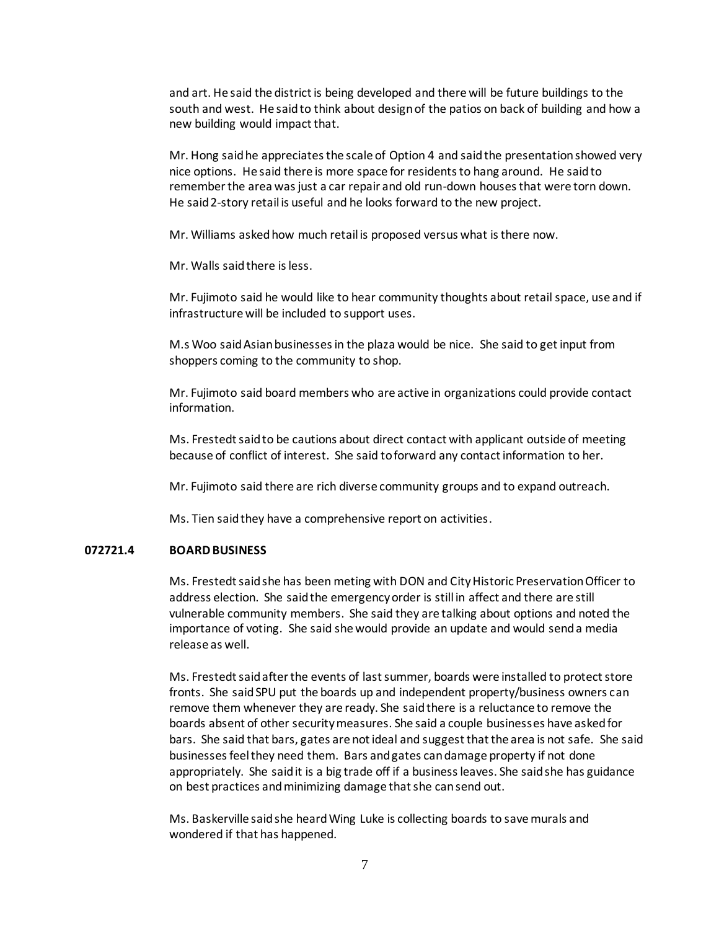and art. He said the district is being developed and there will be future buildings to the south and west. He said to think about design of the patios on back of building and how a new building would impact that.

Mr. Hong said he appreciates the scale of Option 4 and said the presentation showed very nice options. He said there is more space for residents to hang around. He said to remember the area was just a car repair and old run-down houses that were torn down. He said 2-story retail is useful and he looks forward to the new project.

Mr. Williams asked how much retail is proposed versus what is there now.

Mr. Walls said there is less.

Mr. Fujimoto said he would like to hear community thoughts about retail space, use and if infrastructure will be included to support uses.

M.s Woo said Asian businesses in the plaza would be nice. She said to get input from shoppers coming to the community to shop.

Mr. Fujimoto said board members who are active in organizations could provide contact information.

Ms. Frestedt said to be cautions about direct contact with applicant outside of meeting because of conflict of interest. She said to forward any contact information to her.

Mr. Fujimoto said there are rich diverse community groups and to expand outreach.

Ms. Tien said they have a comprehensive report on activities.

# **072721.4 BOARD BUSINESS**

Ms. Frestedt said she has been meting with DON and City Historic Preservation Officer to address election. She said the emergency order is still in affect and there are still vulnerable community members. She said they are talking about options and noted the importance of voting. She said she would provide an update and would send a media release as well.

Ms. Frestedt said after the events of last summer, boards were installed to protect store fronts. She said SPU put the boards up and independent property/business owners can remove them whenever they are ready. She said there is a reluctance to remove the boards absent of other security measures. She said a couple businesses have asked for bars. She said that bars, gates are not ideal and suggest that the area is not safe. She said businesses feel they need them. Bars and gates can damage property if not done appropriately. She said it is a big trade off if a business leaves. She said she has guidance on best practices and minimizing damage that she can send out.

Ms. Baskerville said she heard Wing Luke is collecting boards to save murals and wondered if that has happened.